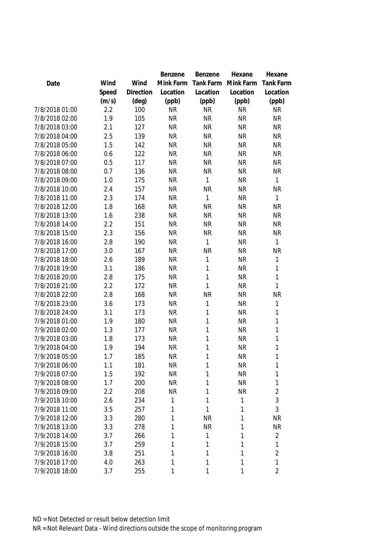|                |       |           | Benzene   | Benzene          | Hexane    | Hexane           |
|----------------|-------|-----------|-----------|------------------|-----------|------------------|
| Date           | Wind  | Wind      | Mink Farm | <b>Tank Farm</b> | Mink Farm | <b>Tank Farm</b> |
|                | Speed | Direction | Location  | Location         | Location  | Location         |
|                | (m/s) | (deg)     | (ppb)     | (ppb)            | (ppb)     | (ppb)            |
| 7/8/2018 01:00 | 2.2   | 100       | <b>NR</b> | <b>NR</b>        | <b>NR</b> | <b>NR</b>        |
| 7/8/2018 02:00 | 1.9   | 105       | <b>NR</b> | <b>NR</b>        | <b>NR</b> | <b>NR</b>        |
| 7/8/2018 03:00 | 2.1   | 127       | <b>NR</b> | <b>NR</b>        | <b>NR</b> | <b>NR</b>        |
| 7/8/2018 04:00 | 2.5   | 139       | <b>NR</b> | <b>NR</b>        | <b>NR</b> | <b>NR</b>        |
| 7/8/2018 05:00 | 1.5   | 142       | <b>NR</b> | <b>NR</b>        | <b>NR</b> | <b>NR</b>        |
| 7/8/2018 06:00 | 0.6   | 122       | <b>NR</b> | <b>NR</b>        | <b>NR</b> | <b>NR</b>        |
| 7/8/2018 07:00 | 0.5   | 117       | <b>NR</b> | <b>NR</b>        | <b>NR</b> | <b>NR</b>        |
| 7/8/2018 08:00 | 0.7   | 136       | <b>NR</b> | <b>NR</b>        | <b>NR</b> | <b>NR</b>        |
| 7/8/2018 09:00 | 1.0   | 175       | <b>NR</b> | 1                | <b>NR</b> | 1                |
| 7/8/2018 10:00 | 2.4   | 157       | <b>NR</b> | <b>NR</b>        | <b>NR</b> | <b>NR</b>        |
| 7/8/2018 11:00 | 2.3   | 174       | <b>NR</b> | 1                | <b>NR</b> | $\mathbf{1}$     |
| 7/8/2018 12:00 | 1.8   | 168       | <b>NR</b> | <b>NR</b>        | <b>NR</b> | <b>NR</b>        |
| 7/8/2018 13:00 | 1.6   | 238       | <b>NR</b> | <b>NR</b>        | <b>NR</b> | <b>NR</b>        |
| 7/8/2018 14:00 | 2.2   | 151       | <b>NR</b> | <b>NR</b>        | <b>NR</b> | <b>NR</b>        |
| 7/8/2018 15:00 | 2.3   | 156       | <b>NR</b> | <b>NR</b>        | <b>NR</b> | <b>NR</b>        |
| 7/8/2018 16:00 | 2.8   | 190       | <b>NR</b> | 1                | <b>NR</b> | 1                |
| 7/8/2018 17:00 | 3.0   | 167       | <b>NR</b> | <b>NR</b>        | <b>NR</b> | <b>NR</b>        |
| 7/8/2018 18:00 | 2.6   | 189       | <b>NR</b> | 1                | <b>NR</b> | $\mathbf{1}$     |
| 7/8/2018 19:00 | 3.1   | 186       | <b>NR</b> | 1                | <b>NR</b> | 1                |
| 7/8/2018 20:00 | 2.8   | 175       | <b>NR</b> | 1                | <b>NR</b> | $\mathbf{1}$     |
| 7/8/2018 21:00 | 2.2   | 172       | <b>NR</b> | 1                | <b>NR</b> | 1                |
| 7/8/2018 22:00 | 2.8   | 168       | <b>NR</b> | <b>NR</b>        | <b>NR</b> | <b>NR</b>        |
| 7/8/2018 23:00 | 3.6   | 173       | <b>NR</b> | 1                | <b>NR</b> | 1                |
| 7/8/2018 24:00 | 3.1   | 173       | <b>NR</b> | 1                | <b>NR</b> | 1                |
| 7/9/2018 01:00 | 1.9   | 180       | <b>NR</b> | 1                | <b>NR</b> | 1                |
| 7/9/2018 02:00 | 1.3   | 177       | <b>NR</b> | 1                | <b>NR</b> | 1                |
| 7/9/2018 03:00 | 1.8   | 173       | <b>NR</b> | 1                | <b>NR</b> | $\mathbf{1}$     |
| 7/9/2018 04:00 | 1.9   | 194       | <b>NR</b> | 1                | <b>NR</b> | $\mathbf{1}$     |
| 7/9/2018 05:00 | 1.7   | 185       | <b>NR</b> | 1                | <b>NR</b> | 1                |
| 7/9/2018 06:00 | 1.1   | 181       | <b>NR</b> | 1                | <b>NR</b> | 1                |
| 7/9/2018 07:00 | 1.5   | 192       | <b>NR</b> | 1                | <b>NR</b> | 1                |
| 7/9/2018 08:00 | 1.7   | 200       | <b>NR</b> | 1                | <b>NR</b> | 1                |
| 7/9/2018 09:00 | 2.2   | 208       | <b>NR</b> | 1                | <b>NR</b> | $\overline{2}$   |
| 7/9/2018 10:00 | 2.6   | 234       | 1         | 1                | 1         | 3                |
| 7/9/2018 11:00 | 3.5   | 257       | 1         | 1                | 1         | 3                |
| 7/9/2018 12:00 | 3.3   | 280       | 1         | <b>NR</b>        | 1         | <b>NR</b>        |
| 7/9/2018 13:00 | 3.3   | 278       | 1         | <b>NR</b>        | 1         | <b>NR</b>        |
| 7/9/2018 14:00 | 3.7   | 266       | 1         | 1                | 1         | $\overline{2}$   |
| 7/9/2018 15:00 | 3.7   | 259       | 1         | 1                | 1         | $\mathbf{1}$     |
| 7/9/2018 16:00 | 3.8   | 251       | 1         | 1                | 1         | $\overline{2}$   |
| 7/9/2018 17:00 | 4.0   | 263       | 1         | 1                | 1         | 1                |
| 7/9/2018 18:00 | 3.7   | 255       | 1         | 1                | 1         | $\overline{2}$   |
|                |       |           |           |                  |           |                  |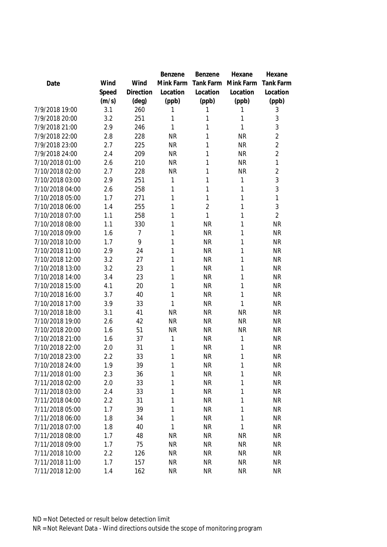|                 |       |           | <b>Benzene</b> | Benzene        | Hexane    | Hexane           |
|-----------------|-------|-----------|----------------|----------------|-----------|------------------|
| Date            | Wind  | Wind      | Mink Farm      | Tank Farm      | Mink Farm | <b>Tank Farm</b> |
|                 | Speed | Direction | Location       | Location       | Location  | Location         |
|                 | (m/s) | (deg)     | (ppb)          | (ppb)          | (ppb)     | (ppb)            |
| 7/9/2018 19:00  | 3.1   | 260       | 1              | 1              | 1         | 3                |
| 7/9/2018 20:00  | 3.2   | 251       | 1              | 1              | 1         | $\sqrt{3}$       |
| 7/9/2018 21:00  | 2.9   | 246       | 1              | 1              | 1         | 3                |
| 7/9/2018 22:00  | 2.8   | 228       | <b>NR</b>      | 1              | <b>NR</b> | $\overline{2}$   |
| 7/9/2018 23:00  | 2.7   | 225       | <b>NR</b>      | 1              | <b>NR</b> | $\overline{2}$   |
| 7/9/2018 24:00  | 2.4   | 209       | <b>NR</b>      | 1              | <b>NR</b> | $\overline{2}$   |
| 7/10/2018 01:00 | 2.6   | 210       | <b>NR</b>      | 1              | <b>NR</b> | 1                |
| 7/10/2018 02:00 | 2.7   | 228       | <b>NR</b>      | 1              | <b>NR</b> | $\overline{2}$   |
| 7/10/2018 03:00 | 2.9   | 251       | 1              | 1              | 1         | 3                |
| 7/10/2018 04:00 | 2.6   | 258       | 1              | 1              | 1         | 3                |
| 7/10/2018 05:00 | 1.7   | 271       | 1              | 1              | 1         | 1                |
| 7/10/2018 06:00 | 1.4   | 255       | 1              | $\overline{2}$ | 1         | 3                |
| 7/10/2018 07:00 | 1.1   | 258       | 1              | $\mathbf{1}$   | 1         | $\overline{2}$   |
| 7/10/2018 08:00 | 1.1   | 330       | 1              | <b>NR</b>      | 1         | <b>NR</b>        |
| 7/10/2018 09:00 | 1.6   | 7         | 1              | <b>NR</b>      | 1         | <b>NR</b>        |
| 7/10/2018 10:00 | 1.7   | 9         | 1              | <b>NR</b>      | 1         | <b>NR</b>        |
| 7/10/2018 11:00 | 2.9   | 24        | 1              | <b>NR</b>      | 1         | <b>NR</b>        |
| 7/10/2018 12:00 | 3.2   | 27        | 1              | <b>NR</b>      | 1         | <b>NR</b>        |
| 7/10/2018 13:00 | 3.2   | 23        | 1              | <b>NR</b>      | 1         | <b>NR</b>        |
| 7/10/2018 14:00 | 3.4   | 23        | 1              | <b>NR</b>      | 1         | <b>NR</b>        |
| 7/10/2018 15:00 | 4.1   | 20        | 1              | <b>NR</b>      | 1         | <b>NR</b>        |
| 7/10/2018 16:00 | 3.7   | 40        | 1              | <b>NR</b>      | 1         | <b>NR</b>        |
| 7/10/2018 17:00 | 3.9   | 33        | 1              | <b>NR</b>      | 1         | <b>NR</b>        |
| 7/10/2018 18:00 | 3.1   | 41        | <b>NR</b>      | <b>NR</b>      | <b>NR</b> | <b>NR</b>        |
| 7/10/2018 19:00 | 2.6   | 42        | <b>NR</b>      | <b>NR</b>      | <b>NR</b> | <b>NR</b>        |
| 7/10/2018 20:00 | 1.6   | 51        | <b>NR</b>      | <b>NR</b>      | <b>NR</b> | <b>NR</b>        |
| 7/10/2018 21:00 | 1.6   | 37        | 1              | <b>NR</b>      | 1         | <b>NR</b>        |
| 7/10/2018 22:00 | 2.0   | 31        | 1              | <b>NR</b>      | 1         | <b>NR</b>        |
| 7/10/2018 23:00 | 2.2   | 33        | 1              | <b>NR</b>      | 1         | <b>NR</b>        |
| 7/10/2018 24:00 | 1.9   | 39        | 1              | <b>NR</b>      | 1         | <b>NR</b>        |
| 7/11/2018 01:00 | 2.3   | 36        | 1              | <b>NR</b>      | 1         | <b>NR</b>        |
| 7/11/2018 02:00 | 2.0   | 33        | 1              | <b>NR</b>      | 1         | <b>NR</b>        |
| 7/11/2018 03:00 | 2.4   | 33        | 1              | <b>NR</b>      | 1         | <b>NR</b>        |
| 7/11/2018 04:00 | 2.2   | 31        | 1              | <b>NR</b>      | 1         | <b>NR</b>        |
| 7/11/2018 05:00 | 1.7   | 39        | 1              | <b>NR</b>      | 1         | <b>NR</b>        |
| 7/11/2018 06:00 | 1.8   | 34        | 1              | <b>NR</b>      | 1         | <b>NR</b>        |
| 7/11/2018 07:00 | 1.8   | 40        | 1              | <b>NR</b>      | 1         | <b>NR</b>        |
| 7/11/2018 08:00 | 1.7   | 48        | <b>NR</b>      | <b>NR</b>      | <b>NR</b> | <b>NR</b>        |
| 7/11/2018 09:00 | 1.7   | 75        | <b>NR</b>      | <b>NR</b>      | <b>NR</b> | <b>NR</b>        |
| 7/11/2018 10:00 | 2.2   | 126       | <b>NR</b>      | <b>NR</b>      | <b>NR</b> | <b>NR</b>        |
| 7/11/2018 11:00 | 1.7   | 157       | <b>NR</b>      | <b>NR</b>      | <b>NR</b> | <b>NR</b>        |
| 7/11/2018 12:00 | 1.4   | 162       | <b>NR</b>      | <b>NR</b>      | <b>NR</b> | <b>NR</b>        |
|                 |       |           |                |                |           |                  |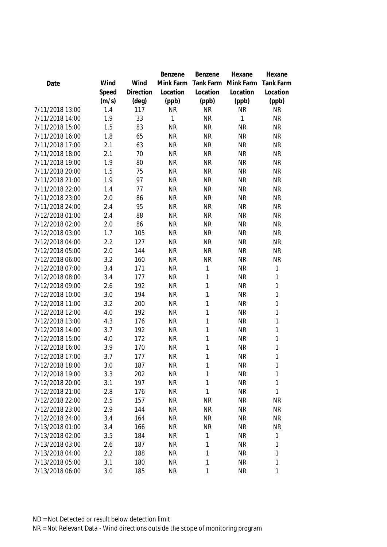|                 |       |           | Benzene   | Benzene   | Hexane    | Hexane           |
|-----------------|-------|-----------|-----------|-----------|-----------|------------------|
| Date            | Wind  | Wind      | Mink Farm | Tank Farm | Mink Farm | <b>Tank Farm</b> |
|                 | Speed | Direction | Location  | Location  | Location  | Location         |
|                 | (m/s) | (deg)     | (ppb)     | (ppb)     | (ppb)     | (ppb)            |
| 7/11/2018 13:00 | 1.4   | 117       | <b>NR</b> | <b>NR</b> | <b>NR</b> | <b>NR</b>        |
| 7/11/2018 14:00 | 1.9   | 33        | 1         | <b>NR</b> | 1         | <b>NR</b>        |
| 7/11/2018 15:00 | 1.5   | 83        | <b>NR</b> | <b>NR</b> | <b>NR</b> | <b>NR</b>        |
| 7/11/2018 16:00 | 1.8   | 65        | <b>NR</b> | <b>NR</b> | <b>NR</b> | <b>NR</b>        |
| 7/11/2018 17:00 | 2.1   | 63        | <b>NR</b> | <b>NR</b> | <b>NR</b> | <b>NR</b>        |
| 7/11/2018 18:00 | 2.1   | 70        | <b>NR</b> | <b>NR</b> | <b>NR</b> | <b>NR</b>        |
| 7/11/2018 19:00 | 1.9   | 80        | <b>NR</b> | <b>NR</b> | <b>NR</b> | <b>NR</b>        |
| 7/11/2018 20:00 | 1.5   | 75        | <b>NR</b> | <b>NR</b> | <b>NR</b> | <b>NR</b>        |
| 7/11/2018 21:00 | 1.9   | 97        | <b>NR</b> | <b>NR</b> | <b>NR</b> | <b>NR</b>        |
| 7/11/2018 22:00 | 1.4   | 77        | <b>NR</b> | <b>NR</b> | <b>NR</b> | <b>NR</b>        |
| 7/11/2018 23:00 | 2.0   | 86        | <b>NR</b> | <b>NR</b> | <b>NR</b> | <b>NR</b>        |
| 7/11/2018 24:00 | 2.4   | 95        | <b>NR</b> | <b>NR</b> | <b>NR</b> | <b>NR</b>        |
| 7/12/2018 01:00 | 2.4   | 88        | <b>NR</b> | <b>NR</b> | <b>NR</b> | <b>NR</b>        |
| 7/12/2018 02:00 | 2.0   | 86        | <b>NR</b> | <b>NR</b> | <b>NR</b> | <b>NR</b>        |
| 7/12/2018 03:00 | 1.7   | 105       | <b>NR</b> | <b>NR</b> | <b>NR</b> | <b>NR</b>        |
| 7/12/2018 04:00 | 2.2   | 127       | <b>NR</b> | <b>NR</b> | <b>NR</b> | <b>NR</b>        |
| 7/12/2018 05:00 | 2.0   | 144       | <b>NR</b> | <b>NR</b> | <b>NR</b> | <b>NR</b>        |
| 7/12/2018 06:00 | 3.2   | 160       | <b>NR</b> | <b>NR</b> | <b>NR</b> | <b>NR</b>        |
| 7/12/2018 07:00 | 3.4   | 171       | <b>NR</b> | 1         | <b>NR</b> | 1                |
| 7/12/2018 08:00 | 3.4   | 177       | <b>NR</b> | 1         | <b>NR</b> | 1                |
| 7/12/2018 09:00 | 2.6   | 192       | <b>NR</b> | 1         | <b>NR</b> | 1                |
| 7/12/2018 10:00 | 3.0   | 194       | <b>NR</b> | 1         | <b>NR</b> | 1                |
| 7/12/2018 11:00 | 3.2   | 200       | <b>NR</b> | 1         | <b>NR</b> | 1                |
| 7/12/2018 12:00 | 4.0   | 192       | <b>NR</b> | 1         | <b>NR</b> | 1                |
| 7/12/2018 13:00 | 4.3   | 176       | <b>NR</b> | 1         | <b>NR</b> | 1                |
| 7/12/2018 14:00 | 3.7   | 192       | <b>NR</b> | 1         | <b>NR</b> | 1                |
| 7/12/2018 15:00 | 4.0   | 172       | <b>NR</b> | 1         | <b>NR</b> | 1                |
| 7/12/2018 16:00 | 3.9   | 170       | <b>NR</b> | 1         | <b>NR</b> | 1                |
| 7/12/2018 17:00 | 3.7   | 177       | <b>NR</b> | 1         | <b>NR</b> | 1                |
| 7/12/2018 18:00 | 3.0   | 187       | <b>NR</b> | 1         | <b>NR</b> | $\mathbf{1}$     |
| 7/12/2018 19:00 | 3.3   | 202       | <b>NR</b> | 1         | <b>NR</b> | 1                |
| 7/12/2018 20:00 | 3.1   | 197       | <b>NR</b> | 1         | <b>NR</b> | 1                |
| 7/12/2018 21:00 | 2.8   | 176       | <b>NR</b> | 1         | <b>NR</b> | 1                |
| 7/12/2018 22:00 | 2.5   | 157       | <b>NR</b> | <b>NR</b> | <b>NR</b> | <b>NR</b>        |
|                 |       |           |           |           |           |                  |
| 7/12/2018 23:00 | 2.9   | 144       | <b>NR</b> | <b>NR</b> | <b>NR</b> | <b>NR</b>        |
| 7/12/2018 24:00 | 3.4   | 164       | <b>NR</b> | <b>NR</b> | <b>NR</b> | <b>NR</b>        |
| 7/13/2018 01:00 | 3.4   | 166       | <b>NR</b> | <b>NR</b> | <b>NR</b> | <b>NR</b>        |
| 7/13/2018 02:00 | 3.5   | 184       | <b>NR</b> | 1         | <b>NR</b> | 1                |
| 7/13/2018 03:00 | 2.6   | 187       | <b>NR</b> | 1         | <b>NR</b> | 1                |
| 7/13/2018 04:00 | 2.2   | 188       | <b>NR</b> | 1         | <b>NR</b> | 1                |
| 7/13/2018 05:00 | 3.1   | 180       | <b>NR</b> | 1         | <b>NR</b> | 1                |
| 7/13/2018 06:00 | 3.0   | 185       | <b>NR</b> | 1         | <b>NR</b> | 1                |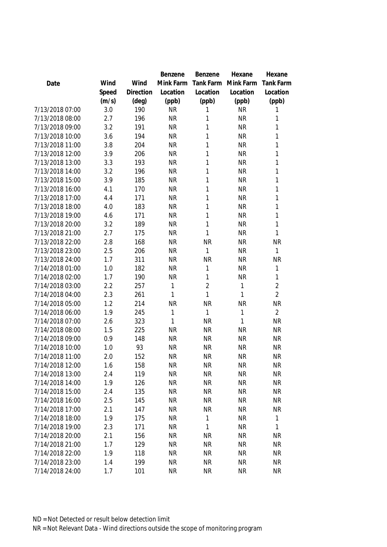|                 |       |           | <b>Benzene</b> | Benzene        | Hexane    | Hexane           |
|-----------------|-------|-----------|----------------|----------------|-----------|------------------|
| Date            | Wind  | Wind      | Mink Farm      | Tank Farm      | Mink Farm | <b>Tank Farm</b> |
|                 | Speed | Direction | Location       | Location       | Location  | Location         |
|                 | (m/s) | (deg)     | (ppb)          | (ppb)          | (ppb)     | (ppb)            |
| 7/13/2018 07:00 | 3.0   | 190       | <b>NR</b>      | 1              | <b>NR</b> | 1                |
| 7/13/2018 08:00 | 2.7   | 196       | <b>NR</b>      | 1              | <b>NR</b> | 1                |
| 7/13/2018 09:00 | 3.2   | 191       | <b>NR</b>      | 1              | <b>NR</b> | 1                |
| 7/13/2018 10:00 | 3.6   | 194       | <b>NR</b>      | 1              | <b>NR</b> | 1                |
| 7/13/2018 11:00 | 3.8   | 204       | <b>NR</b>      | 1              | <b>NR</b> | 1                |
| 7/13/2018 12:00 | 3.9   | 206       | <b>NR</b>      | 1              | <b>NR</b> | 1                |
| 7/13/2018 13:00 | 3.3   | 193       | <b>NR</b>      | 1              | <b>NR</b> | 1                |
| 7/13/2018 14:00 | 3.2   | 196       | <b>NR</b>      | 1              | <b>NR</b> | 1                |
| 7/13/2018 15:00 | 3.9   | 185       | <b>NR</b>      | 1              | <b>NR</b> | $\mathbf{1}$     |
| 7/13/2018 16:00 | 4.1   | 170       | <b>NR</b>      | 1              | <b>NR</b> | 1                |
| 7/13/2018 17:00 | 4.4   | 171       | <b>NR</b>      | 1              | <b>NR</b> | 1                |
| 7/13/2018 18:00 | 4.0   | 183       | <b>NR</b>      | 1              | <b>NR</b> | 1                |
| 7/13/2018 19:00 | 4.6   | 171       | <b>NR</b>      | 1              | <b>NR</b> | 1                |
| 7/13/2018 20:00 | 3.2   | 189       | <b>NR</b>      | 1              | <b>NR</b> | 1                |
| 7/13/2018 21:00 | 2.7   | 175       | <b>NR</b>      | 1              | <b>NR</b> | 1                |
| 7/13/2018 22:00 | 2.8   | 168       | <b>NR</b>      | <b>NR</b>      | <b>NR</b> | <b>NR</b>        |
| 7/13/2018 23:00 | 2.5   | 206       | <b>NR</b>      | 1              | <b>NR</b> | 1                |
| 7/13/2018 24:00 | 1.7   | 311       | <b>NR</b>      | <b>NR</b>      | <b>NR</b> | <b>NR</b>        |
| 7/14/2018 01:00 | 1.0   | 182       | <b>NR</b>      | 1              | <b>NR</b> | 1                |
| 7/14/2018 02:00 | 1.7   | 190       | <b>NR</b>      | 1              | <b>NR</b> | $\mathbf{1}$     |
| 7/14/2018 03:00 | 2.2   | 257       | 1              | $\overline{2}$ | 1         | $\overline{2}$   |
| 7/14/2018 04:00 | 2.3   | 261       | 1              | 1              | 1         | $\overline{2}$   |
| 7/14/2018 05:00 | 1.2   | 214       | <b>NR</b>      | <b>NR</b>      | <b>NR</b> | <b>NR</b>        |
| 7/14/2018 06:00 | 1.9   | 245       | 1              | 1              | 1         | $\overline{2}$   |
| 7/14/2018 07:00 | 2.6   | 323       | 1              | <b>NR</b>      | 1         | <b>NR</b>        |
| 7/14/2018 08:00 | 1.5   | 225       | <b>NR</b>      | <b>NR</b>      | <b>NR</b> | <b>NR</b>        |
| 7/14/2018 09:00 | 0.9   | 148       | <b>NR</b>      | <b>NR</b>      | <b>NR</b> | <b>NR</b>        |
| 7/14/2018 10:00 | 1.0   | 93        | <b>NR</b>      | <b>NR</b>      | <b>NR</b> | <b>NR</b>        |
| 7/14/2018 11:00 | 2.0   | 152       | <b>NR</b>      | <b>NR</b>      | <b>NR</b> | <b>NR</b>        |
| 7/14/2018 12:00 | 1.6   | 158       | <b>NR</b>      | <b>NR</b>      | <b>NR</b> | <b>NR</b>        |
| 7/14/2018 13:00 | 2.4   | 119       | <b>NR</b>      | <b>NR</b>      | <b>NR</b> | <b>NR</b>        |
| 7/14/2018 14:00 | 1.9   | 126       | <b>NR</b>      | <b>NR</b>      | <b>NR</b> | <b>NR</b>        |
| 7/14/2018 15:00 | 2.4   | 135       | <b>NR</b>      | <b>NR</b>      | <b>NR</b> | <b>NR</b>        |
| 7/14/2018 16:00 | 2.5   | 145       | <b>NR</b>      | <b>NR</b>      | <b>NR</b> | <b>NR</b>        |
| 7/14/2018 17:00 | 2.1   | 147       | <b>NR</b>      | <b>NR</b>      | <b>NR</b> | <b>NR</b>        |
| 7/14/2018 18:00 | 1.9   | 175       | <b>NR</b>      | 1              | <b>NR</b> | 1                |
| 7/14/2018 19:00 | 2.3   | 171       | <b>NR</b>      | 1              | <b>NR</b> | 1                |
| 7/14/2018 20:00 | 2.1   | 156       | <b>NR</b>      | <b>NR</b>      | <b>NR</b> | <b>NR</b>        |
| 7/14/2018 21:00 | 1.7   | 129       | <b>NR</b>      | <b>NR</b>      | <b>NR</b> | <b>NR</b>        |
| 7/14/2018 22:00 | 1.9   | 118       | <b>NR</b>      | <b>NR</b>      | <b>NR</b> | <b>NR</b>        |
| 7/14/2018 23:00 | 1.4   | 199       | <b>NR</b>      | <b>NR</b>      |           |                  |
|                 |       |           |                |                | <b>NR</b> | <b>NR</b>        |
| 7/14/2018 24:00 | 1.7   | 101       | <b>NR</b>      | <b>NR</b>      | <b>NR</b> | <b>NR</b>        |